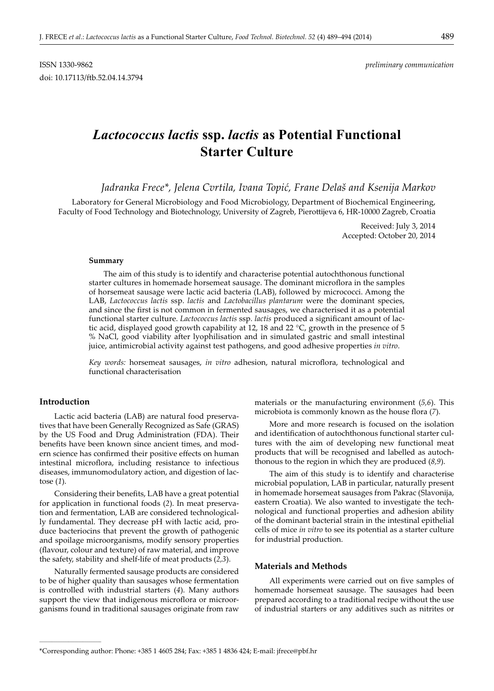# *Lactococcus lactis* **ssp.** *lactis* **as Potential Functional Starter Culture**

Jadranka Frece\*, Jelena Cvrtila, Ivana Topić, Frane Delaš and Ksenija Markov

Laboratory for General Microbiology and Food Microbiology, Department of Biochemical Engineering, Faculty of Food Technology and Biotechnology, University of Zagreb, Pierottijeva 6, HR-10000 Zagreb, Croatia

> Received: July 3, 2014 Accepted: October 20, 2014

#### **Summary**

The aim of this study is to identify and characterise potential autochthonous functional starter cultures in homemade horsemeat sausage. The dominant microflora in the samples of horsemeat sausage were lactic acid bacteria (LAB), followed by micrococci. Among the LAB, *Lactococcus lactis* ssp. *lactis* and *Lactobacillus plantarum* were the dominant species, and since the first is not common in fermented sausages, we characterised it as a potential functional starter culture. *Lactococcus lactis* ssp. *lactis* produced a significant amount of lactic acid, displayed good growth capability at 12, 18 and 22 °C, growth in the presence of 5 % NaCl, good viability after lyophilisation and in simulated gastric and small intestinal juice, antimicrobial activity against test pathogens, and good adhesive properties *in vitro*.

*Key words:* horsemeat sausages, *in vitro* adhesion, natural microflora, technological and functional characterisation

# **Introduction**

**\_\_\_\_\_\_\_\_\_\_\_\_\_\_\_\_\_\_\_\_\_\_\_\_\_\_\_\_\_\_**

Lactic acid bacteria (LAB) are natural food preservatives that have been Generally Recognized as Safe (GRAS) by the US Food and Drug Administration (FDA). Their benefits have been known since ancient times, and modern science has confirmed their positive effects on human intestinal microflora, including resistance to infectious diseases, immunomodulatory action, and digestion of lactose (*1*).

Considering their benefits, LAB have a great potential for application in functional foods (*2*). In meat preservation and fermentation, LAB are considered technologically fundamental. They decrease pH with lactic acid, produce bacteriocins that prevent the growth of pathogenic and spoilage microorganisms, modify sensory properties (flavour, colour and texture) of raw material, and improve the safety, stability and shelf-life of meat products (*2,3*).

Naturally fermented sausage products are considered to be of higher quality than sausages whose fermentation is controlled with industrial starters (*4*). Many authors support the view that indigenous microflora or microorganisms found in traditional sausages originate from raw

materials or the manufacturing environment (*5,6*). This microbiota is commonly known as the house flora (7).

More and more research is focused on the isolation and identification of autochthonous functional starter cultures with the aim of developing new functional meat products that will be recognised and labelled as autochthonous to the region in which they are produced (*8,9*).

The aim of this study is to identify and characterise microbial population, LAB in particular, naturally present in homemade horsemeat sausages from Pakrac (Slavonija, eastern Croatia). We also wanted to investigate the technological and functional properties and adhesion ability of the dominant bacterial strain in the intestinal epithelial cells of mice *in vitro* to see its potential as a starter culture for industrial production.

## **Materials and Methods**

All experiments were carried out on five samples of homemade horsemeat sausage. The sausages had been prepared according to a traditional recipe without the use of industrial starters or any additives such as nitrites or

<sup>\*</sup>Corresponding author: Phone: +385 1 4605 284; Fax: +385 1 4836 424; E-mail: jfrece@pbf.hr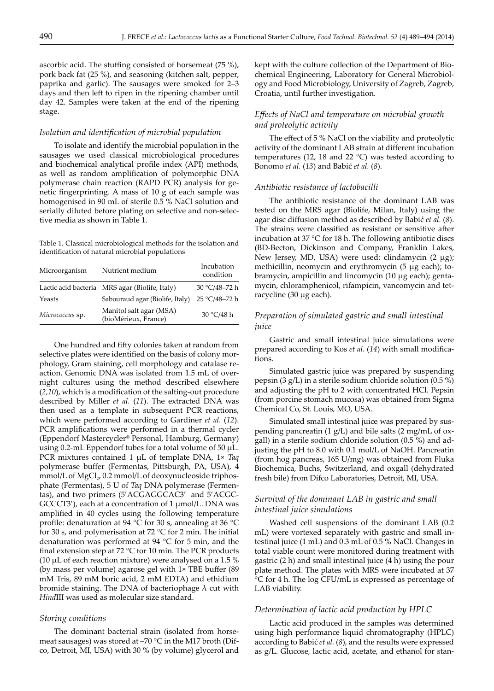ascorbic acid. The stuffing consisted of horsemeat  $(75 \%)$ , pork back fat (25 %), and seasoning (kitchen salt, pepper, paprika and garlic). The sausages were smoked for 2–3 days and then left to ripen in the ripening chamber until day 42. Samples were taken at the end of the ripening stage.

## *Isolation and identifi cation of microbial population*

To isolate and identify the microbial population in the sausages we used classical microbiological procedures and biochemical analytical profile index (API) methods, as well as random amplification of polymorphic DNA polymerase chain reaction (RAPD PCR) analysis for genetic fingerprinting. A mass of  $10 \text{ g}$  of each sample was homogenised in 90 mL of sterile 0.5 % NaCl solution and serially diluted before plating on selective and non-selective media as shown in Table 1.

Table 1. Classical microbiological methods for the isolation and identification of natural microbial populations

| Microorganism   | Nutrient medium                                 | Incubation<br>condition |
|-----------------|-------------------------------------------------|-------------------------|
|                 | Lactic acid bacteria MRS agar (Biolife, Italy)  | 30 °C/48-72 h           |
| Yeasts          | Sabouraud agar (Biolife, Italy)                 | 25 °C/48-72 h           |
| Micrococcus sp. | Manitol salt agar (MSA)<br>(bioMérieux, France) | 30 °C/48 h              |

One hundred and fifty colonies taken at random from selective plates were identified on the basis of colony morphology, Gram staining, cell morphology and catalase reaction. Genomic DNA was isolated from 1.5 mL of overnight cultures using the method described elsewhere (2,10), which is a modification of the salting-out procedure described by Miller *et al.* (*11*). The extracted DNA was then used as a template in subsequent PCR reactions, which were performed according to Gardiner *et al.* (*12*). PCR amplifications were performed in a thermal cycler (Eppendorf Mastercycler® Personal, Hamburg, Germany) using 0.2-mL Eppendorf tubes for a total volume of 50  $\mu$ L. PCR mixtures contained 1 µL of template DNA, 1× *Taq* polymerase buffer (Fermentas, Pittsburgh, PA, USA), 4  $mmol/L$  of  $MgCl<sub>2</sub>$ , 0.2 mmol/L of deoxynucleoside triphosphate (Fermentas), 5 U of *Taq* DNA polymerase (Fermentas), and two primers (5'ACGAGGCAC3' and 5'ACGC-GCCCT3'), each at a concentration of 1 µmol/L. DNA was amplified in 40 cycles using the following temperature profile: denaturation at 94 °C for 30 s, annealing at 36 °C for 30 s, and polymerisation at 72 °C for 2 min. The initial denaturation was performed at 94 °C for 5 min, and the final extension step at  $72 \text{ °C}$  for 10 min. The PCR products (10  $\mu$ L of each reaction mixture) were analysed on a 1.5 % (by mass per volume) agarose gel with  $1 \times$  TBE buffer (89) mM Tris, 89 mM boric acid, 2 mM EDTA) and ethidium bromide staining. The DNA of bacteriophage  $\lambda$  cut with *Hind*III was used as molecular size standard.

#### *Storing conditions*

The dominant bacterial strain (isolated from horsemeat sausages) was stored at –70 °C in the M17 broth (Difco, Detroit, MI, USA) with 30 % (by volume) glycerol and kept with the culture collection of the Department of Biochemical Engineering, Laboratory for General Microbiology and Food Microbiology, University of Zagreb, Zagreb, Croatia, until further investigation.

# *Eff ects of NaCl and temperature on microbial growth and proteolytic activity*

The effect of  $5\%$  NaCl on the viability and proteolytic activity of the dominant LAB strain at different incubation temperatures (12, 18 and 22  $^{\circ}$ C) was tested according to Bonomo *et al.* (*13*) and Babić *et al.* (*8*).

#### *Antibiotic resistance of lactobacilli*

The antibiotic resistance of the dominant LAB was tested on the MRS agar (Biolife, Milan, Italy) using the agar disc diffusion method as described by Babić et al. (8). The strains were classified as resistant or sensitive after incubation at 37 °C for 18 h. The following antibiotic discs (BD-Becton, Dickinson and Company, Franklin Lakes, New Jersey, MD, USA) were used: clindamycin (2 µg); methicillin, neomycin and erythromycin (5 µg each); tobramycin, ampicillin and lincomycin (10 µg each); gentamycin, chloramphenicol, rifampicin, vancomycin and tetracycline (30 µg each).

# *Preparation of simulated gastric and small intestinal juice*

Gastric and small intestinal juice simulations were prepared according to Kos *et al.* (14) with small modifications.

Simulated gastric juice was prepared by suspending pepsin (3 g/L) in a sterile sodium chloride solution (0.5 %) and adjusting the pH to 2 with concentrated HCl. Pepsin (from porcine stomach mucosa) was obtained from Sigma Chemical Co, St. Louis, MO, USA.

Simulated small intestinal juice was prepared by suspending pancreatin (1 g/L) and bile salts (2 mg/mL of oxgall) in a sterile sodium chloride solution (0.5 %) and adjusting the pH to 8.0 with 0.1 mol/L of NaOH. Pancreatin (from hog pancreas, 165 U/mg) was obtained from Fluka Biochemica, Buchs, Switzerland, and oxgall (dehydrated fresh bile) from Difco Laboratories, Detroit, MI, USA.

# *Survival of the dominant LAB in gastric and small intestinal juice simulations*

Washed cell suspensions of the dominant LAB (0.2 mL) were vortexed separately with gastric and small intestinal juice (1 mL) and 0.3 mL of 0.5 % NaCl. Changes in total viable count were monitored during treatment with gastric (2 h) and small intestinal juice (4 h) using the pour plate method. The plates with MRS were incubated at 37 °C for 4 h. The log CFU/mL is expressed as percentage of LAB viability.

#### *Determination of lactic acid production by HPLC*

Lactic acid produced in the samples was determined using high performance liquid chromatography (HPLC) according to Babić *et al.* (*8*), and the results were expressed as g/L. Glucose, lactic acid, acetate, and ethanol for stan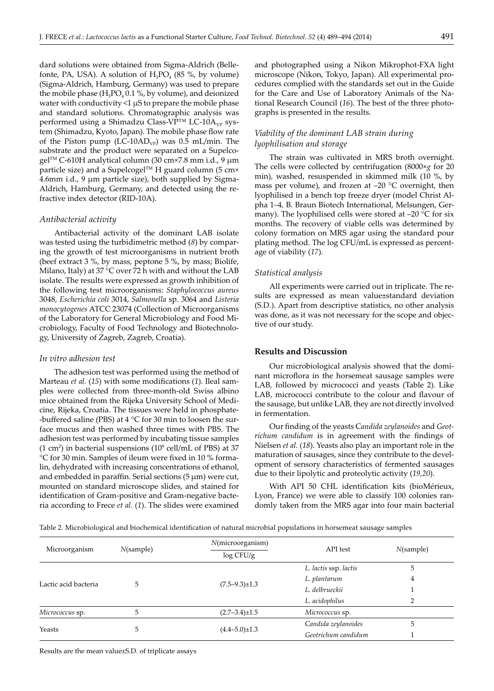dard solutions were obtained from Sigma-Aldrich (Bellefonte, PA, USA). A solution of  $H_3PO_4$  (85 %, by volume) (Sigma-Aldrich, Hamburg, Germany) was used to prepare the mobile phase  $(H_3PO_4 0.1 %$ , by volume), and deionized water with conductivity  $\leq 1 \mu S$  to prepare the mobile phase and standard solutions. Chromatographic analysis was performed using a Shimadzu Class-VP™ LC-10A<sub>VP</sub> system (Shimadzu, Kyoto, Japan). The mobile phase flow rate of the Piston pump (LC-10AD<sub>VP</sub>) was  $0.5$  mL/min. The substrate and the product were separated on a Supelcogel™ C-610H analytical column (30 cm×7.8 mm i.d., 9 µm particle size) and a Supelcogel<sup>TM</sup> H guard column (5 cm× 4.6mm i.d., 9 µm particle size), both supplied by Sigma-Aldrich, Hamburg, Germany, and detected using the refractive index detector (RID-10A).

## *Antibacterial activity*

Antibacterial activity of the dominant LAB isolate was tested using the turbidimetric method (*8*) by comparing the growth of test microorganisms in nutrient broth (beef extract 3 %, by mass, peptone 5 %, by mass; Biolife, Milano, Italy) at 37 °C over 72 h with and without the LAB isolate. The results were expressed as growth inhibition of the following test microorganisms: *Staphylococcus aureus* 3048, *Escherichia coli* 3014, *Salmonella* sp. 3064 and *Listeria monocytogenes* ATCC 23074 (Collection of Microorganisms of the Laboratory for General Microbiology and Food Microbiology, Faculty of Food Technology and Biotechnology, University of Zagreb, Zagreb, Croatia).

## *In vitro adhesion test*

The adhesion test was performed using the method of Marteau *et al.* (15) with some modifications (1). Ileal samples were collected from three-month-old Swiss albino mice obtained from the Rijeka University School of Medicine, Rijeka, Croatia. The tissues were held in phosphate--buffered saline (PBS) at  $4^{\circ}$ C for 30 min to loosen the surface mucus and then washed three times with PBS. The adhesion test was performed by incubating tissue samples  $(1 \text{ cm}^2)$  in bacterial suspensions  $(10^9 \text{ cell/mL of PBS})$  at 37 °C for 30 min. Samples of ileum were fixed in 10 % formalin, dehydrated with increasing concentrations of ethanol, and embedded in paraffin. Serial sections  $(5 \mu m)$  were cut, mounted on standard microscope slides, and stained for identification of Gram-positive and Gram-negative bacteria according to Frece *et al.* (*1*). The slides were examined

and photographed using a Nikon Mikrophot-FXA light microscope (Nikon, Tokyo, Japan). All experimental procedures complied with the standards set out in the Guide for the Care and Use of Laboratory Animals of the National Research Council (*16*). The best of the three photographs is presented in the results.

# *Viability of the dominant LAB strain during lyophilisation and storage*

The strain was cultivated in MRS broth overnight. The cells were collected by centrifugation (8000×*g* for 20 min), washed, resuspended in skimmed milk (10 %, by mass per volume), and frozen at –20 °C overnight, then lyophilised in a bench top freeze dryer (model Christ Alpha 1–4, B. Braun Biotech International, Melsungen, Germany). The lyophilised cells were stored at –20 °C for six months. The recovery of viable cells was determined by colony formation on MRS agar using the standard pour plating method. The log CFU/mL is expressed as percentage of viability (*17*).

## *Statistical analysis*

All experiments were carried out in triplicate. The results are expressed as mean value±standard deviation (S.D.). Apart from descriptive statistics, no other analysis was done, as it was not necessary for the scope and objective of our study.

## **Results and Discussion**

Our microbiological analysis showed that the dominant microflora in the horsemeat sausage samples were LAB*,* followed by micrococci and yeasts (Table 2). Like LAB, micrococci contribute to the colour and flavour of the sausage, but unlike LAB, they are not directly involved in fermentation.

Our finding of the yeasts Candida zeylanoides and Geotrichum candidum is in agreement with the findings of Nielsen *et al.* (*18*). Yeasts also play an important role in the maturation of sausages, since they contribute to the development of sensory characteristics of fermented sausages due to their lipolytic and proteolytic activity (*19,20*).

With API 50 CHL identification kits (bioMérieux, Lyon, France) we were able to classify 100 colonies randomly taken from the MRS agar into four main bacterial

Table 2. Microbiological and biochemical identification of natural microbial populations in horsemeat sausage samples

| Microorganism        | $N$ (sample) | N(microorganism)      | API test              | $N$ (sample) |
|----------------------|--------------|-----------------------|-----------------------|--------------|
|                      |              | log CFU/g             |                       |              |
| Lactic acid bacteria | 5            | $(7.5-9.3) \pm 1.3$   | L. lactis ssp. lactis | 5            |
|                      |              |                       | L. plantarum          | 4            |
|                      |              |                       | L. delbrueckii        |              |
|                      |              |                       | L. acidophilus        |              |
| Micrococcus sp.      | 5            | $(2.7-3.4) \pm 1.5$   | Micrococcus sp.       |              |
| Yeasts               | 5            |                       | Candida zeylanoides   | 5            |
|                      |              | $(4.4 - 5.0) \pm 1.3$ | Geotrichum candidum   |              |

Results are the mean value±S.D. of triplicate assays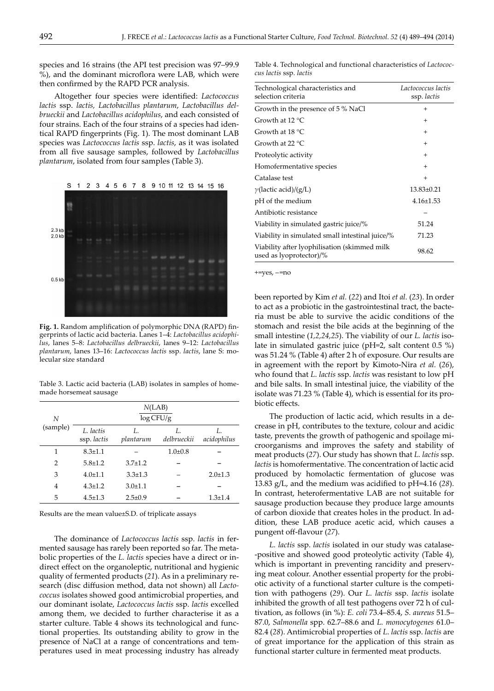species and 16 strains (the API test precision was 97–99.9 %), and the dominant microflora were LAB, which were then confirmed by the RAPD PCR analysis.

Altogether four species were identified: *Lactococcus lactis* ssp. *lactis, Lactobacillus plantarum*, *Lactobacillus delbrueckii* and *Lactobacillus acidophilus*, and each consisted of four strains. Each of the four strains of a species had identical RAPD fingerprints (Fig. 1). The most dominant LAB species was *Lactococcus lactis* ssp. *lactis*, as it was isolated from all five sausage samples, followed by *Lactobacillus plantarum*, isolated from four samples (Table 3).



Fig. 1. Random amplification of polymorphic DNA (RAPD) fingerprints of lactic acid bacteria. Lanes 1–4: *Lactobacillus acidophilus*, lanes 5–8: *Lactobacillus delbrueckii*, lanes 9–12: *Lactobacillus plantarum*, lanes 13–16: *Lactococcus lactis* ssp. *lactis*, lane S: molecular size standard

Table 3. Lactic acid bacteria (LAB) isolates in samples of homemade horsemeat sausage

| N<br>(sample)  | N(LAB)<br>$\log CFU/g$   |                  |                   |                   |
|----------------|--------------------------|------------------|-------------------|-------------------|
|                | L. lactis<br>ssp. lactis | I.,<br>plantarum | Ι.<br>delbrueckii | Ι.<br>acidophilus |
| 1              | $8.3 + 1.1$              |                  | $1.0 + 0.8$       |                   |
| 2              | $5.8 + 1.2$              | $3.7 + 1.2$      |                   |                   |
| 3              | $4.0 \pm 1.1$            | $3.3 + 1.3$      |                   | $2.0 \pm 1.3$     |
| $\overline{4}$ | $4.3 \pm 1.2$            | $3.0 \pm 1.1$    |                   |                   |
| 5              | $4.5 \pm 1.3$            | $2.5 \pm 0.9$    |                   | $1.3 \pm 1.4$     |

Results are the mean value±S.D. of triplicate assays

The dominance of *Lactococcus lactis* ssp. *lactis* in fermented sausage has rarely been reported so far. The metabolic properties of the *L. lactis* species have a direct or indirect effect on the organoleptic, nutritional and hygienic quality of fermented products (*21*). As in a preliminary research (disc diffusion method, data not shown) all *Lactococcus* isolates showed good antimicrobial properties, and our dominant isolate, *Lactococcus lactis* ssp. *lactis* excelled among them, we decided to further characterise it as a starter culture. Table 4 shows its technological and functional properties. Its outstanding ability to grow in the presence of NaCl at a range of concentrations and temperatures used in meat processing industry has already

Table 4. Technological and functional characteristics of *Lactococcus lactis* ssp. *lactis*

| Technological characteristics and<br>selection criteria                 | Lactococcus lactis<br>ssp. lactis |
|-------------------------------------------------------------------------|-----------------------------------|
| Growth in the presence of 5 % NaCl                                      | $\,^+$                            |
| Growth at $12 °C$                                                       | $\overline{+}$                    |
| Growth at $18\,^{\circ}\mathrm{C}$                                      | $\overline{+}$                    |
| Growth at 22 $^{\circ}$ C                                               | $\overline{+}$                    |
| Proteolytic activity                                                    | $\overline{+}$                    |
| Homofermentative species                                                | $\ddot{}$                         |
| Catalase test                                                           | $\ddot{}$                         |
| $\gamma$ (lactic acid)/(g/L)                                            | $13.83 \pm 0.21$                  |
| pH of the medium                                                        | $4.16 \pm 1.53$                   |
| Antibiotic resistance                                                   |                                   |
| Viability in simulated gastric juice/%                                  | 51.24                             |
| Viability in simulated small intestinal juice/%                         | 71.23                             |
| Viability after lyophilisation (skimmed milk<br>used as lyoprotector)/% | 98.62                             |

 $+$ =yes,  $-$ =no

been reported by Kim *et al.* (*22*) and Itoi *et al.* (*23*). In order to act as a probiotic in the gastrointestinal tract, the bacteria must be able to survive the acidic conditions of the stomach and resist the bile acids at the beginning of the small intestine (*1,2,24,25*). The viability of our *L. lactis* isolate in simulated gastric juice (pH=2, salt content 0.5 %) was 51.24 % (Table 4) after 2 h of exposure. Our results are in agreement with the report by Kimoto-Nira *et al.* (*26*), who found that *L*. *lactis* ssp. *lactis* was resistant to low pH and bile salts. In small intestinal juice, the viability of the isolate was 71.23 % (Table 4), which is essential for its probiotic effects.

The production of lactic acid, which results in a decrease in pH, contributes to the texture, colour and acidic taste, prevents the growth of pathogenic and spoilage microorganisms and improves the safety and stability of meat products (*27*). Our study has shown that *L. lactis* ssp. *lactis* is homofermentative. The concentration of lactic acid produced by homolactic fermentation of glucose was 13.83 g/L, and the medium was acidified to pH=4.16 (28). In contrast, heterofermentative LAB are not suitable for sausage production because they produce large amounts of carbon dioxide that creates holes in the product. In addition, these LAB produce acetic acid, which causes a pungent off-flavour (27).

*L. lactis* ssp. *lactis* isolated in our study was catalase- -positive and showed good proteolytic activity (Table 4), which is important in preventing rancidity and preserving meat colour. Another essential property for the probiotic activity of a functional starter culture is the competition with pathogens (*29*). Our *L*. *lactis* ssp. *lactis* isolate inhibited the growth of all test pathogens over 72 h of cultivation, as follows (in %): *E. coli* 73.4–85.4, *S. aureus* 51.5– 87.0, *Salmonella* spp. 62.7–88.6 and *L. monocytogenes* 61.0– 82.4 (*28*). Antimicrobial properties of *L*. *lactis* ssp. *lactis* are of great importance for the application of this strain as functional starter culture in fermented meat products.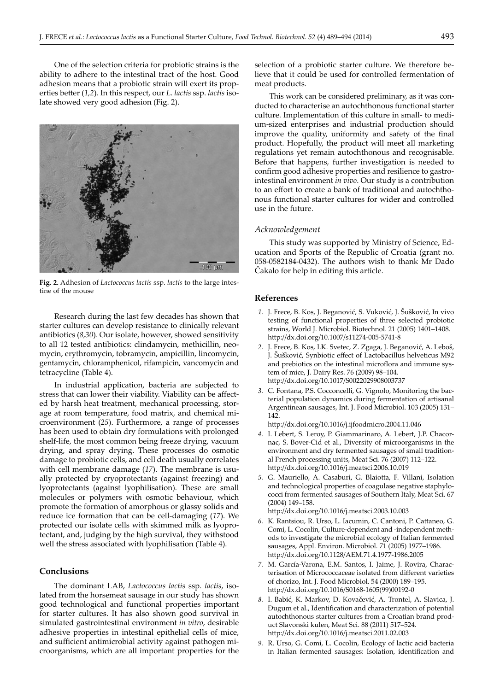One of the selection criteria for probiotic strains is the ability to adhere to the intestinal tract of the host. Good adhesion means that a probiotic strain will exert its properties better (1,2). In this respect, our *L. lactis* ssp. *lactis* isolate showed very good adhesion (Fig. 2).



**Fig. 2.** Adhesion of *Lactococcus lactis* ssp. *lactis* to the large intestine of the mouse

Research during the last few decades has shown that starter cultures can develop resistance to clinically relevant antibiotics (*8,30*). Our isolate, however, showed sensitivity to all 12 tested antibiotics: clindamycin, methicillin, neomycin, erythromycin, tobramycin, ampicillin, lincomycin, gentamycin, chloramphenicol, rifampicin, vancomycin and tetracycline (Table 4).

In industrial application, bacteria are subjected to stress that can lower their viability. Viability can be affected by harsh heat treatment, mechanical processing, storage at room temperature, food matrix, and chemical microenvironment (*25*). Furthermore, a range of processes has been used to obtain dry formulations with prolonged shelf-life, the most common being freeze drying, vacuum drying, and spray drying. These processes do osmotic damage to probiotic cells, and cell death usually correlates with cell membrane damage (*17*). The membrane is usually protected by cryoprotectants (against freezing) and lyoprotectants (against lyophilisation). These are small molecules or polymers with osmotic behaviour, which promote the formation of amorphous or glassy solids and reduce ice formation that can be cell-damaging (*17*). We protected our isolate cells with skimmed milk as lyoprotectant, and, judging by the high survival, they withstood well the stress associated with lyophilisation (Table 4).

# **Conclusions**

The dominant LAB, *Lactococcus lactis* ssp. *lactis*, isolated from the horsemeat sausage in our study has shown good technological and functional properties important for starter cultures. It has also shown good survival in simulated gastrointestinal environment *in vitro*, desirable adhesive properties in intestinal epithelial cells of mice, and sufficient antimicrobial activity against pathogen microorganisms, which are all important properties for the

selection of a probiotic starter culture. We therefore believe that it could be used for controlled fermentation of meat products.

This work can be considered preliminary, as it was conducted to characterise an autochthonous functional starter culture. Implementation of this culture in small- to medium-sized enterprises and industrial production should improve the quality, uniformity and safety of the final product. Hopefully, the product will meet all marketing regulations yet remain autochthonous and recognisable. Before that happens, further investigation is needed to confirm good adhesive properties and resilience to gastrointestinal environment *in vivo*. Our study is a contribution to an effort to create a bank of traditional and autochthonous functional starter cultures for wider and controlled use in the future.

#### *Acknowledgement*

This study was supported by Ministry of Science, Education and Sports of the Republic of Croatia (grant no. 058-0582184-0432). The authors wish to thank Mr Dado Cakalo for help in editing this article.

## **References**

- *1.* J. Frece, B. Kos, J. Beganović, S. Vuković, J. Šušković, In vivo testing of functional properties of three selected probiotic strains, World J. Microbiol. Biotechnol. 21 (2005) 1401–1408. h- p://dx.doi.org/10.1007/s11274-005-5741-8
- *2.* J. Frece, B. Kos, I.K. Svetec, Z. Zgaga, J. Beganović, A. Leboš, J. Šušković, Synbiotic effect of Lactobacillus helveticus M92 and prebiotics on the intestinal microflora and immune system of mice, J. Dairy Res. 76 (2009) 98–104. h- p://dx.doi.org/10.1017/S0022029908003737
- *3.* C. Fontana, P.S. Cocconcelli, G. Vignolo, Monitoring the bacterial population dynamics during fermentation of artisanal Argentinean sausages, Int. J. Food Microbiol. 103 (2005) 131– 142.

h- p://dx.doi.org/10.1016/j.ij foodmicro.2004.11.046

- *4.* I. Lebert, S. Leroy, P. Giammarinaro, A. Lebert, J.P. Chacornac, S. Bover-Cid et al., Diversity of microorganisms in the environment and dry fermented sausages of small traditional French processing units, Meat Sci. 76 (2007) 112–122. h- p://dx.doi.org/10.1016/j.meatsci.2006.10.019
- 5. G. Mauriello, A. Casaburi, G. Blaiotta, F. Villani, Isolation and technological properties of coagulase negative staphylococci from fermented sausages of Southern Italy, Meat Sci. 67 (2004) 149–158.

http://dx.doi.org/10.1016/j.meatsci.2003.10.003

- 6. K. Rantsiou, R. Urso, L. Iacumin, C. Cantoni, P. Cattaneo, G. Comi, L. Cocolin, Culture-dependent and -independent methods to investigate the microbial ecology of Italian fermented sausages, Appl. Environ. Microbiol. 71 (2005) 1977–1986. http://dx.doi.org/10.1128/AEM.71.4.1977-1986.2005
- *7.* M. García-Varona, E.M. Santos, I. Jaime, J. Rovira, Characterisation of Micrococcaceae isolated from different varieties of chorizo, Int. J. Food Microbiol. 54 (2000) 189–195. h- p://dx.doi.org/10.1016/S0168-1605(99)00192-0
- *8.* I. Babić, K. Markov, D. Kovačević, A. Trontel, A. Slavica, J. Đugum et al., Identification and characterization of potential autochthonous starter cultures from a Croatian brand product Slavonski kulen, Meat Sci. 88 (2011) 517–524. h- p://dx.doi.org/10.1016/j.meatsci.2011.02.003
- *9.* R. Urso, G. Comi, L. Cocolin, Ecology of lactic acid bacteria in Italian fermented sausages: Isolation, identification and